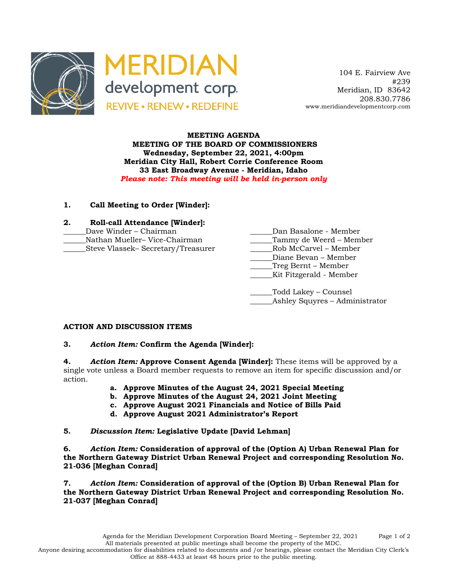



 104 E. Fairview Ave #239 Meridian, ID 83642 208.830.7786 www.meridiandevelopmentcorp.com

#### **MEETING AGENDA MEETING OF THE BOARD OF COMMISSIONERS Wednesday, September 22, 2021, 4:00pm Meridian City Hall, Robert Corrie Conference Room 33 East Broadway Avenue - Meridian, Idaho** *Please note: This meeting will be held in-person only*

## **1. Call Meeting to Order [Winder]:**

| 2. | Roll-call Attendance [Winder]:     |                         |
|----|------------------------------------|-------------------------|
|    | Dave Winder – Chairman             | Dan Basalone - Member   |
|    | Nathan Mueller-Vice-Chairman       | Tammy de Weerd – Member |
|    | Steve Vlassek– Secretary/Treasurer | Rob McCarvel – Member   |
|    |                                    |                         |

| Dan Basalone - Member   |  |  |
|-------------------------|--|--|
| Tammy de Weerd – Member |  |  |
| Rob McCarvel - Member   |  |  |
| Diane Bevan – Member    |  |  |
| Treg Bernt – Member     |  |  |
| Kit Fitzgerald - Member |  |  |
|                         |  |  |
| Todd Lakey – Counsel    |  |  |

Ashley Squyres – Administrator

# **ACTION AND DISCUSSION ITEMS**

### **3.** *Action Item:* **Confirm the Agenda [Winder]:**

**4.** *Action Item:* **Approve Consent Agenda [Winder]:** These items will be approved by a single vote unless a Board member requests to remove an item for specific discussion and/or action.

- **a. Approve Minutes of the August 24, 2021 Special Meeting**
- **b. Approve Minutes of the August 24, 2021 Joint Meeting**
- **c. Approve August 2021 Financials and Notice of Bills Paid**
- **d. Approve August 2021 Administrator's Report**

### **5.** *Discussion Item:* **Legislative Update [David Lehman]**

**6.** *Action Item:* **Consideration of approval of the (Option A) Urban Renewal Plan for the Northern Gateway District Urban Renewal Project and corresponding Resolution No. 21-036 [Meghan Conrad]**

**7.** *Action Item:* **Consideration of approval of the (Option B) Urban Renewal Plan for the Northern Gateway District Urban Renewal Project and corresponding Resolution No. 21-037 [Meghan Conrad]**